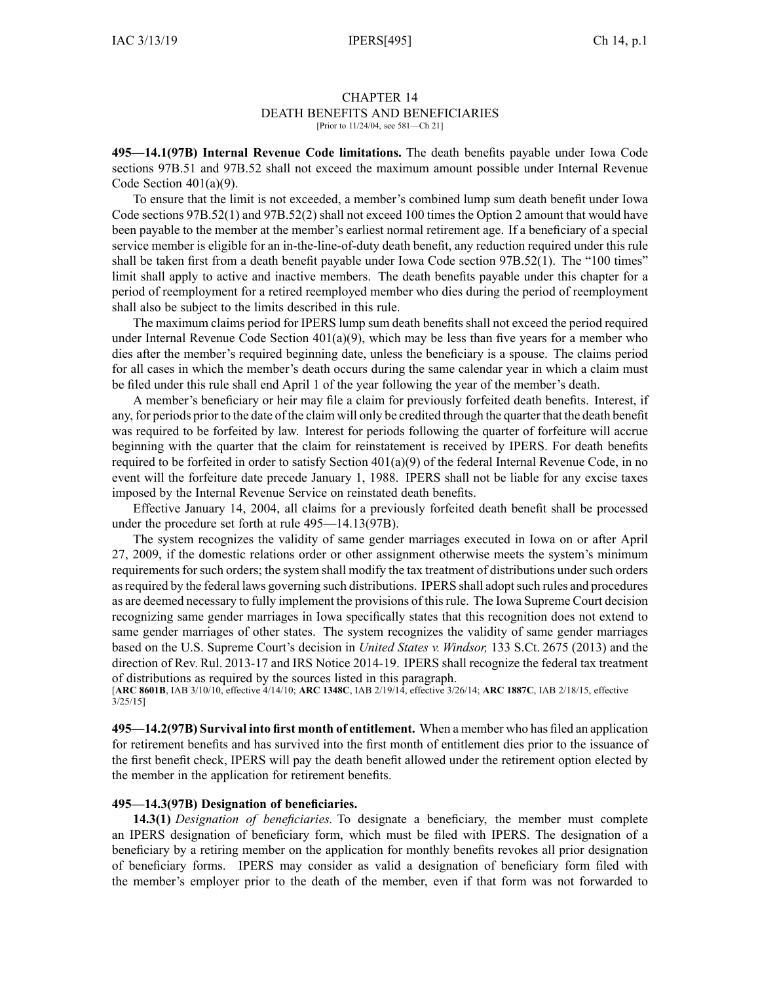#### CHAPTER 14 DEATH BENEFITS AND BENEFICIARIES [Prior to 11/24/04, see 581-Ch 21]

**495—14.1(97B) Internal Revenue Code limitations.** The death benefits payable under Iowa Code sections [97B.51](https://www.legis.iowa.gov/docs/ico/section/2017/97B.51.pdf) and [97B.52](https://www.legis.iowa.gov/docs/ico/section/2017/97B.52.pdf) shall not exceed the maximum amount possible under Internal Revenue Code Section 401(a)(9).

To ensure that the limit is not exceeded, <sup>a</sup> member's combined lump sum death benefit under Iowa Code sections [97B.52\(1\)](https://www.legis.iowa.gov/docs/ico/section/97B.52.pdf) and [97B.52\(2\)](https://www.legis.iowa.gov/docs/ico/section/97B.52.pdf) shall not exceed 100 times the Option 2 amount that would have been payable to the member at the member's earliest normal retirement age. If <sup>a</sup> beneficiary of <sup>a</sup> special service member is eligible for an in-the-line-of-duty death benefit, any reduction required under this rule shall be taken first from <sup>a</sup> death benefit payable under Iowa Code section [97B.52\(1\)](https://www.legis.iowa.gov/docs/ico/section/97B.52.pdf). The "100 times" limit shall apply to active and inactive members. The death benefits payable under this chapter for <sup>a</sup> period of reemployment for <sup>a</sup> retired reemployed member who dies during the period of reemployment shall also be subject to the limits described in this rule.

The maximum claims period for IPERS lump sum death benefits shall not exceed the period required under Internal Revenue Code Section  $401(a)(9)$ , which may be less than five years for a member who dies after the member's required beginning date, unless the beneficiary is <sup>a</sup> spouse. The claims period for all cases in which the member's death occurs during the same calendar year in which <sup>a</sup> claim must be filed under this rule shall end April 1 of the year following the year of the member's death.

A member's beneficiary or heir may file <sup>a</sup> claim for previously forfeited death benefits. Interest, if any, for periods prior to the date of the claim will only be credited through the quarter that the death benefit was required to be forfeited by law. Interest for periods following the quarter of forfeiture will accrue beginning with the quarter that the claim for reinstatement is received by IPERS. For death benefits required to be forfeited in order to satisfy Section 401(a)(9) of the federal Internal Revenue Code, in no event will the forfeiture date precede January 1, 1988. IPERS shall not be liable for any excise taxes imposed by the Internal Revenue Service on reinstated death benefits.

Effective January 14, 2004, all claims for <sup>a</sup> previously forfeited death benefit shall be processed under the procedure set forth at rule [495—14.13](https://www.legis.iowa.gov/docs/iac/rule/495.14.13.pdf)(97B).

The system recognizes the validity of same gender marriages executed in Iowa on or after April 27, 2009, if the domestic relations order or other assignment otherwise meets the system's minimum requirements for such orders; the system shall modify the tax treatment of distributions under such orders asrequired by the federal laws governing such distributions. IPERS shall adoptsuch rules and procedures as are deemed necessary to fully implement the provisions of thisrule. The Iowa Supreme Court decision recognizing same gender marriages in Iowa specifically states that this recognition does not extend to same gender marriages of other states. The system recognizes the validity of same gender marriages based on the U.S. Supreme Court's decision in *United States v. Windsor,* 133 S.Ct. 2675 (2013) and the direction of Rev. Rul. 2013-17 and IRS Notice 2014-19. IPERS shall recognize the federal tax treatment of distributions as required by the sources listed in this paragraph.

[**ARC [8601B](https://www.legis.iowa.gov/docs/aco/arc/8601B.pdf)**, IAB 3/10/10, effective 4/14/10; **ARC [1348C](https://www.legis.iowa.gov/docs/aco/arc/1348C.pdf)**, IAB 2/19/14, effective 3/26/14; **ARC [1887C](https://www.legis.iowa.gov/docs/aco/arc/1887C.pdf)**, IAB 2/18/15, effective  $3/25/15$ ]

**495—14.2(97B) Survival into first month of entitlement.** When <sup>a</sup> member who has filed an application for retirement benefits and has survived into the first month of entitlement dies prior to the issuance of the first benefit check, IPERS will pay the death benefit allowed under the retirement option elected by the member in the application for retirement benefits.

## **495—14.3(97B) Designation of beneficiaries.**

**14.3(1)** *Designation of beneficiaries.* To designate <sup>a</sup> beneficiary, the member must complete an IPERS designation of beneficiary form, which must be filed with IPERS. The designation of <sup>a</sup> beneficiary by <sup>a</sup> retiring member on the application for monthly benefits revokes all prior designation of beneficiary forms. IPERS may consider as valid <sup>a</sup> designation of beneficiary form filed with the member's employer prior to the death of the member, even if that form was not forwarded to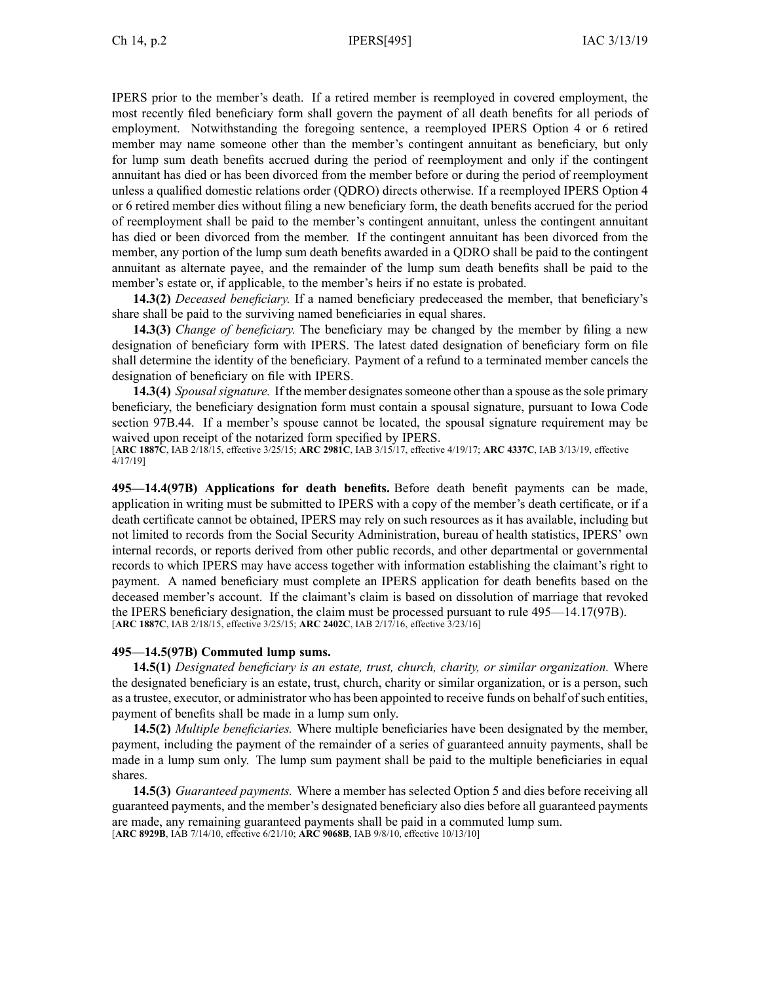IPERS prior to the member's death. If <sup>a</sup> retired member is reemployed in covered employment, the most recently filed beneficiary form shall govern the paymen<sup>t</sup> of all death benefits for all periods of employment. Notwithstanding the foregoing sentence, <sup>a</sup> reemployed IPERS Option 4 or 6 retired member may name someone other than the member's contingent annuitant as beneficiary, but only for lump sum death benefits accrued during the period of reemployment and only if the contingent annuitant has died or has been divorced from the member before or during the period of reemployment unless <sup>a</sup> qualified domestic relations order (QDRO) directs otherwise. If <sup>a</sup> reemployed IPERS Option 4 or 6 retired member dies without filing <sup>a</sup> new beneficiary form, the death benefits accrued for the period of reemployment shall be paid to the member's contingent annuitant, unless the contingent annuitant has died or been divorced from the member. If the contingent annuitant has been divorced from the member, any portion of the lump sum death benefits awarded in <sup>a</sup> QDRO shall be paid to the contingent annuitant as alternate payee, and the remainder of the lump sum death benefits shall be paid to the member's estate or, if applicable, to the member's heirs if no estate is probated.

**14.3(2)** *Deceased beneficiary.* If <sup>a</sup> named beneficiary predeceased the member, that beneficiary's share shall be paid to the surviving named beneficiaries in equal shares.

**14.3(3)** *Change of beneficiary.* The beneficiary may be changed by the member by filing <sup>a</sup> new designation of beneficiary form with IPERS. The latest dated designation of beneficiary form on file shall determine the identity of the beneficiary. Payment of <sup>a</sup> refund to <sup>a</sup> terminated member cancels the designation of beneficiary on file with IPERS.

**14.3(4)** *Spousal signature.* If the member designates someone other than a spouse as the sole primary beneficiary, the beneficiary designation form must contain <sup>a</sup> spousal signature, pursuan<sup>t</sup> to Iowa Code section [97B.44](https://www.legis.iowa.gov/docs/ico/section/2017/97B.44.pdf). If <sup>a</sup> member's spouse cannot be located, the spousal signature requirement may be waived upon receipt of the notarized form specified by IPERS. [**ARC [1887C](https://www.legis.iowa.gov/docs/aco/arc/1887C.pdf)**, IAB 2/18/15, effective 3/25/15; **ARC [2981C](https://www.legis.iowa.gov/docs/aco/arc/2981C.pdf)**, IAB 3/15/17, effective 4/19/17; **ARC [4337C](https://www.legis.iowa.gov/docs/aco/arc/4337C.pdf)**, IAB 3/13/19, effective 4/17/19]

**495—14.4(97B) Applications for death benefits.** Before death benefit payments can be made, application in writing must be submitted to IPERS with <sup>a</sup> copy of the member's death certificate, or if <sup>a</sup> death certificate cannot be obtained, IPERS may rely on such resources as it has available, including but not limited to records from the Social Security Administration, bureau of health statistics, IPERS' own internal records, or reports derived from other public records, and other departmental or governmental records to which IPERS may have access together with information establishing the claimant's right to payment. A named beneficiary must complete an IPERS application for death benefits based on the deceased member's account. If the claimant's claim is based on dissolution of marriage that revoked the IPERS beneficiary designation, the claim must be processed pursuan<sup>t</sup> to rule [495—14.17](https://www.legis.iowa.gov/docs/iac/rule/495.14.17.pdf)(97B). [**ARC [1887C](https://www.legis.iowa.gov/docs/aco/arc/1887C.pdf)**, IAB 2/18/15, effective 3/25/15; **ARC [2402C](https://www.legis.iowa.gov/docs/aco/arc/2402C.pdf)**, IAB 2/17/16, effective 3/23/16]

## **495—14.5(97B) Commuted lump sums.**

**14.5(1)** *Designated beneficiary is an estate, trust, church, charity, or similar organization.* Where the designated beneficiary is an estate, trust, church, charity or similar organization, or is <sup>a</sup> person, such as a trustee, executor, or administrator who has been appointed to receive funds on behalf of such entities, paymen<sup>t</sup> of benefits shall be made in <sup>a</sup> lump sum only.

**14.5(2)** *Multiple beneficiaries.* Where multiple beneficiaries have been designated by the member, payment, including the paymen<sup>t</sup> of the remainder of <sup>a</sup> series of guaranteed annuity payments, shall be made in <sup>a</sup> lump sum only. The lump sum paymen<sup>t</sup> shall be paid to the multiple beneficiaries in equal shares.

**14.5(3)** *Guaranteed payments.* Where <sup>a</sup> member has selected Option 5 and dies before receiving all guaranteed payments, and the member's designated beneficiary also dies before all guaranteed payments are made, any remaining guaranteed payments shall be paid in <sup>a</sup> commuted lump sum. [**ARC [8929B](https://www.legis.iowa.gov/docs/aco/arc/8929B.pdf)**, IAB 7/14/10, effective 6/21/10; **ARC [9068B](https://www.legis.iowa.gov/docs/aco/arc/9068B.pdf)**, IAB 9/8/10, effective 10/13/10]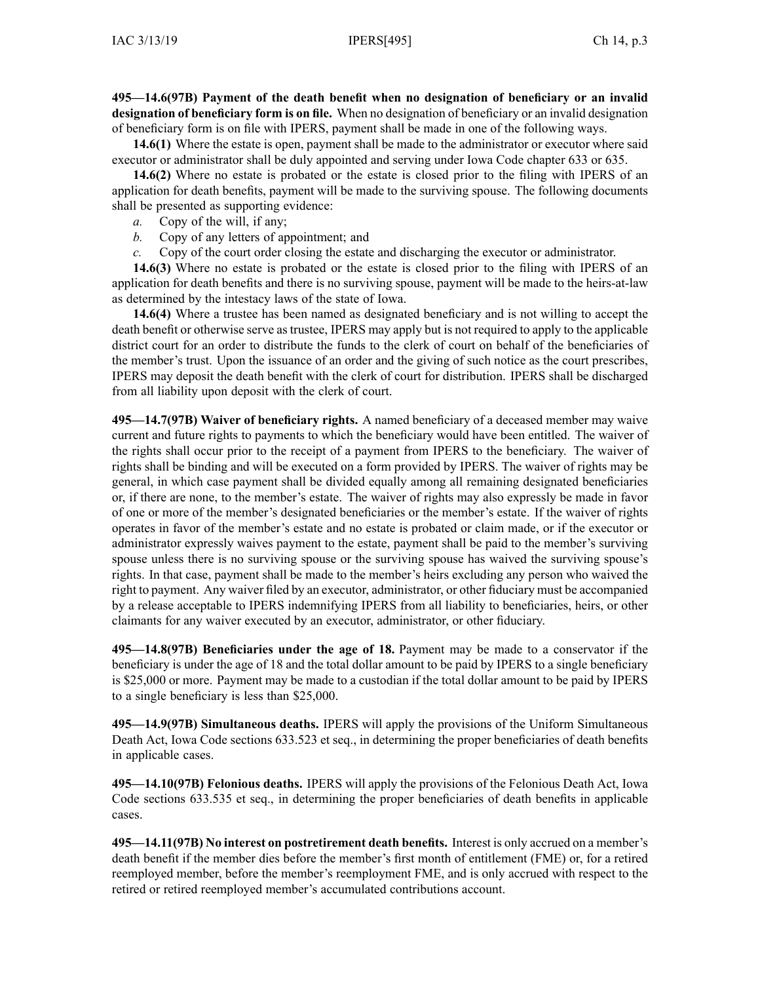**495—14.6(97B) Payment of the death benefit when no designation of beneficiary or an invalid designation of beneficiary form is on file.** When no designation of beneficiary or an invalid designation of beneficiary form is on file with IPERS, paymen<sup>t</sup> shall be made in one of the following ways.

**14.6(1)** Where the estate is open, paymen<sup>t</sup> shall be made to the administrator or executor where said executor or administrator shall be duly appointed and serving under Iowa Code chapter [633](https://www.legis.iowa.gov/docs/ico/chapter/633.pdf) or [635](https://www.legis.iowa.gov/docs/ico/chapter/635.pdf).

**14.6(2)** Where no estate is probated or the estate is closed prior to the filing with IPERS of an application for death benefits, paymen<sup>t</sup> will be made to the surviving spouse. The following documents shall be presented as supporting evidence:

- *a.* Copy of the will, if any;
- *b.* Copy of any letters of appointment; and
- *c.* Copy of the court order closing the estate and discharging the executor or administrator.

**14.6(3)** Where no estate is probated or the estate is closed prior to the filing with IPERS of an application for death benefits and there is no surviving spouse, paymen<sup>t</sup> will be made to the heirs-at-law as determined by the intestacy laws of the state of Iowa.

**14.6(4)** Where <sup>a</sup> trustee has been named as designated beneficiary and is not willing to accep<sup>t</sup> the death benefit or otherwise serve astrustee, IPERS may apply but is not required to apply to the applicable district court for an order to distribute the funds to the clerk of court on behalf of the beneficiaries of the member's trust. Upon the issuance of an order and the giving of such notice as the court prescribes, IPERS may deposit the death benefit with the clerk of court for distribution. IPERS shall be discharged from all liability upon deposit with the clerk of court.

**495—14.7(97B) Waiver of beneficiary rights.** A named beneficiary of <sup>a</sup> deceased member may waive current and future rights to payments to which the beneficiary would have been entitled. The waiver of the rights shall occur prior to the receipt of <sup>a</sup> paymen<sup>t</sup> from IPERS to the beneficiary. The waiver of rights shall be binding and will be executed on <sup>a</sup> form provided by IPERS. The waiver of rights may be general, in which case paymen<sup>t</sup> shall be divided equally among all remaining designated beneficiaries or, if there are none, to the member's estate. The waiver of rights may also expressly be made in favor of one or more of the member's designated beneficiaries or the member's estate. If the waiver of rights operates in favor of the member's estate and no estate is probated or claim made, or if the executor or administrator expressly waives paymen<sup>t</sup> to the estate, paymen<sup>t</sup> shall be paid to the member's surviving spouse unless there is no surviving spouse or the surviving spouse has waived the surviving spouse's rights. In that case, paymen<sup>t</sup> shall be made to the member's heirs excluding any person who waived the right to payment. Any waiver filed by an executor, administrator, or other fiduciary must be accompanied by <sup>a</sup> release acceptable to IPERS indemnifying IPERS from all liability to beneficiaries, heirs, or other claimants for any waiver executed by an executor, administrator, or other fiduciary.

**495—14.8(97B) Beneficiaries under the age of 18.** Payment may be made to <sup>a</sup> conservator if the beneficiary is under the age of 18 and the total dollar amount to be paid by IPERS to <sup>a</sup> single beneficiary is \$25,000 or more. Payment may be made to <sup>a</sup> custodian if the total dollar amount to be paid by IPERS to <sup>a</sup> single beneficiary is less than \$25,000.

**495—14.9(97B) Simultaneous deaths.** IPERS will apply the provisions of the Uniform Simultaneous Death Act, Iowa Code sections [633.523](https://www.legis.iowa.gov/docs/ico/section/633.523.pdf) et seq., in determining the proper beneficiaries of death benefits in applicable cases.

**495—14.10(97B) Felonious deaths.** IPERS will apply the provisions of the Felonious Death Act, Iowa Code sections [633.535](https://www.legis.iowa.gov/docs/ico/section/633.535.pdf) et seq., in determining the proper beneficiaries of death benefits in applicable cases.

**495—14.11(97B) No interest on postretirement death benefits.** Interest is only accrued on <sup>a</sup> member's death benefit if the member dies before the member's first month of entitlement (FME) or, for <sup>a</sup> retired reemployed member, before the member's reemployment FME, and is only accrued with respec<sup>t</sup> to the retired or retired reemployed member's accumulated contributions account.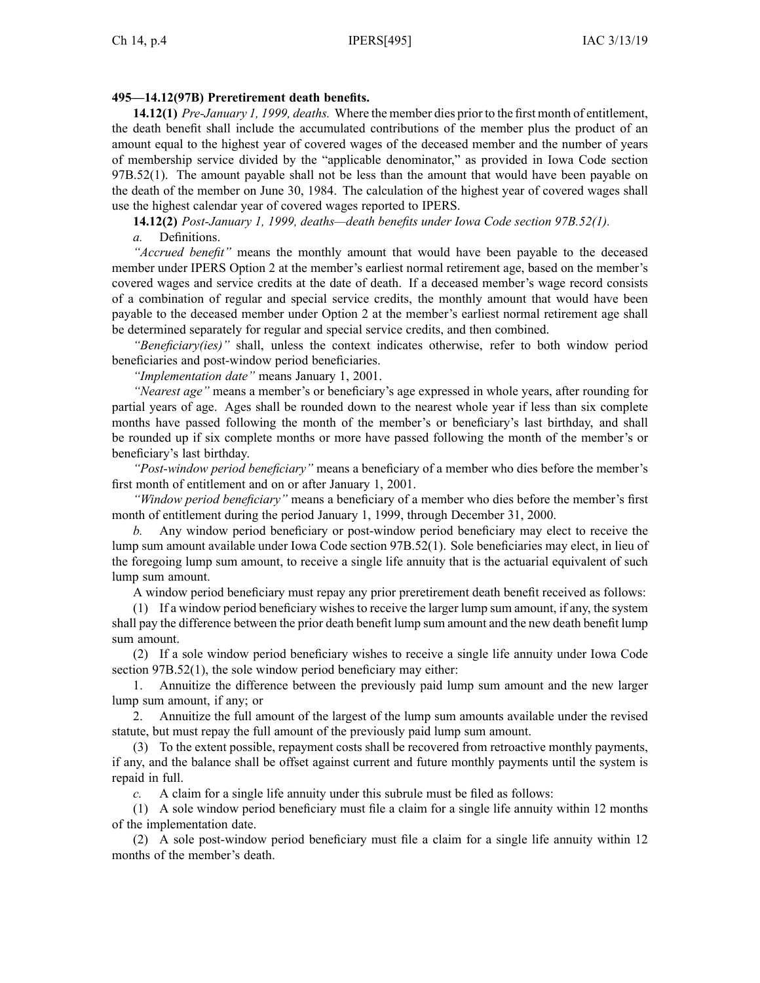# **495—14.12(97B) Preretirement death benefits.**

**14.12(1)** *Pre-January 1, 1999, deaths.* Where the member dies prior to the first month of entitlement, the death benefit shall include the accumulated contributions of the member plus the product of an amount equal to the highest year of covered wages of the deceased member and the number of years of membership service divided by the "applicable denominator," as provided in Iowa Code section [97B.52\(1\)](https://www.legis.iowa.gov/docs/ico/section/97B.52.pdf). The amount payable shall not be less than the amount that would have been payable on the death of the member on June 30, 1984. The calculation of the highest year of covered wages shall use the highest calendar year of covered wages reported to IPERS.

**14.12(2)** *Post-January 1, 1999, deaths—death benefits under Iowa Code section [97B.52\(1\)](https://www.legis.iowa.gov/docs/ico/section/97B.52.pdf).*

*a.* Definitions.

*"Accrued benefit"* means the monthly amount that would have been payable to the deceased member under IPERS Option 2 at the member's earliest normal retirement age, based on the member's covered wages and service credits at the date of death. If <sup>a</sup> deceased member's wage record consists of <sup>a</sup> combination of regular and special service credits, the monthly amount that would have been payable to the deceased member under Option 2 at the member's earliest normal retirement age shall be determined separately for regular and special service credits, and then combined.

*"Beneficiary(ies)"* shall, unless the context indicates otherwise, refer to both window period beneficiaries and post-window period beneficiaries.

*"Implementation date"* means January 1, 2001.

*"Nearest age"* means <sup>a</sup> member's or beneficiary's age expressed in whole years, after rounding for partial years of age. Ages shall be rounded down to the nearest whole year if less than six complete months have passed following the month of the member's or beneficiary's last birthday, and shall be rounded up if six complete months or more have passed following the month of the member's or beneficiary's last birthday.

*"Post-window period beneficiary"* means <sup>a</sup> beneficiary of <sup>a</sup> member who dies before the member's first month of entitlement and on or after January 1, 2001.

*"Window period beneficiary"* means <sup>a</sup> beneficiary of <sup>a</sup> member who dies before the member's first month of entitlement during the period January 1, 1999, through December 31, 2000.

*b.* Any window period beneficiary or post-window period beneficiary may elect to receive the lump sum amount available under Iowa Code section [97B.52\(1\)](https://www.legis.iowa.gov/docs/ico/section/97B.52.pdf). Sole beneficiaries may elect, in lieu of the foregoing lump sum amount, to receive <sup>a</sup> single life annuity that is the actuarial equivalent of such lump sum amount.

A window period beneficiary must repay any prior preretirement death benefit received as follows:

(1) If <sup>a</sup> window period beneficiary wishes to receive the larger lump sum amount, if any, the system shall pay the difference between the prior death benefit lump sum amount and the new death benefit lump sum amount.

(2) If <sup>a</sup> sole window period beneficiary wishes to receive <sup>a</sup> single life annuity under Iowa Code section [97B.52\(1\)](https://www.legis.iowa.gov/docs/ico/section/97B.52.pdf), the sole window period beneficiary may either:

1. Annuitize the difference between the previously paid lump sum amount and the new larger lump sum amount, if any; or

2. Annuitize the full amount of the largest of the lump sum amounts available under the revised statute, but must repay the full amount of the previously paid lump sum amount.

(3) To the extent possible, repaymen<sup>t</sup> costs shall be recovered from retroactive monthly payments, if any, and the balance shall be offset against current and future monthly payments until the system is repaid in full.

*c.* A claim for <sup>a</sup> single life annuity under this subrule must be filed as follows:

(1) A sole window period beneficiary must file <sup>a</sup> claim for <sup>a</sup> single life annuity within 12 months of the implementation date.

(2) A sole post-window period beneficiary must file <sup>a</sup> claim for <sup>a</sup> single life annuity within 12 months of the member's death.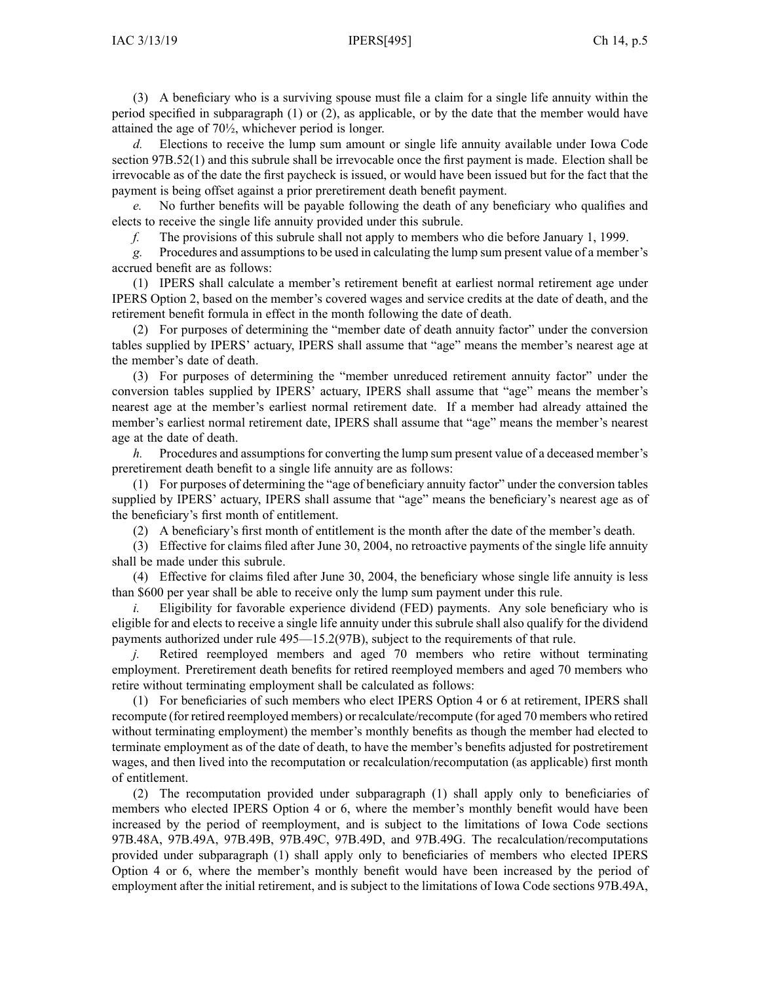(3) A beneficiary who is <sup>a</sup> surviving spouse must file <sup>a</sup> claim for <sup>a</sup> single life annuity within the period specified in subparagraph (1) or (2), as applicable, or by the date that the member would have attained the age of 70½, whichever period is longer.

*d.* Elections to receive the lump sum amount or single life annuity available under Iowa Code section [97B.52\(1\)](https://www.legis.iowa.gov/docs/ico/section/97B.52.pdf) and this subrule shall be irrevocable once the first paymen<sup>t</sup> is made. Election shall be irrevocable as of the date the first paycheck is issued, or would have been issued but for the fact that the paymen<sup>t</sup> is being offset against <sup>a</sup> prior preretirement death benefit payment.

*e.* No further benefits will be payable following the death of any beneficiary who qualifies and elects to receive the single life annuity provided under this subrule.

*f.* The provisions of this subrule shall not apply to members who die before January 1, 1999.

*g.* Procedures and assumptionsto be used in calculating the lump sum presen<sup>t</sup> value of <sup>a</sup> member's accrued benefit are as follows:

(1) IPERS shall calculate <sup>a</sup> member's retirement benefit at earliest normal retirement age under IPERS Option 2, based on the member's covered wages and service credits at the date of death, and the retirement benefit formula in effect in the month following the date of death.

(2) For purposes of determining the "member date of death annuity factor" under the conversion tables supplied by IPERS' actuary, IPERS shall assume that "age" means the member's nearest age at the member's date of death.

(3) For purposes of determining the "member unreduced retirement annuity factor" under the conversion tables supplied by IPERS' actuary, IPERS shall assume that "age" means the member's nearest age at the member's earliest normal retirement date. If <sup>a</sup> member had already attained the member's earliest normal retirement date, IPERS shall assume that "age" means the member's nearest age at the date of death.

*h.* Procedures and assumptions for converting the lump sum present value of a deceased member's preretirement death benefit to <sup>a</sup> single life annuity are as follows:

(1) For purposes of determining the "age of beneficiary annuity factor" under the conversion tables supplied by IPERS' actuary, IPERS shall assume that "age" means the beneficiary's nearest age as of the beneficiary's first month of entitlement.

(2) A beneficiary's first month of entitlement is the month after the date of the member's death.

(3) Effective for claims filed after June 30, 2004, no retroactive payments of the single life annuity shall be made under this subrule.

(4) Effective for claims filed after June 30, 2004, the beneficiary whose single life annuity is less than \$600 per year shall be able to receive only the lump sum paymen<sup>t</sup> under this rule.

*i.* Eligibility for favorable experience dividend (FED) payments. Any sole beneficiary who is eligible for and elects to receive <sup>a</sup> single life annuity under this subrule shall also qualify for the dividend payments authorized under rule [495—15.2](https://www.legis.iowa.gov/docs/iac/rule/495.15.2.pdf)(97B), subject to the requirements of that rule.

*j.* Retired reemployed members and aged 70 members who retire without terminating employment. Preretirement death benefits for retired reemployed members and aged 70 members who retire without terminating employment shall be calculated as follows:

(1) For beneficiaries of such members who elect IPERS Option 4 or 6 at retirement, IPERS shall recompute (for retired reemployed members) or recalculate/recompute (for aged 70 members who retired without terminating employment) the member's monthly benefits as though the member had elected to terminate employment as of the date of death, to have the member's benefits adjusted for postretirement wages, and then lived into the recomputation or recalculation/recomputation (as applicable) first month of entitlement.

(2) The recomputation provided under subparagraph (1) shall apply only to beneficiaries of members who elected IPERS Option 4 or 6, where the member's monthly benefit would have been increased by the period of reemployment, and is subject to the limitations of Iowa Code sections [97B.48A](https://www.legis.iowa.gov/docs/ico/section/97B.48A.pdf), [97B.49A](https://www.legis.iowa.gov/docs/ico/section/97B.49A.pdf), [97B.49B](https://www.legis.iowa.gov/docs/ico/section/97B.49B.pdf), [97B.49C](https://www.legis.iowa.gov/docs/ico/section/97B.49C.pdf), [97B.49D](https://www.legis.iowa.gov/docs/ico/section/97B.49D.pdf), and [97B.49G](https://www.legis.iowa.gov/docs/ico/section/97B.49G.pdf). The recalculation/recomputations provided under subparagraph (1) shall apply only to beneficiaries of members who elected IPERS Option 4 or 6, where the member's monthly benefit would have been increased by the period of employment after the initial retirement, and is subject to the limitations of Iowa Code sections [97B.49A](https://www.legis.iowa.gov/docs/ico/section/97B.49A.pdf),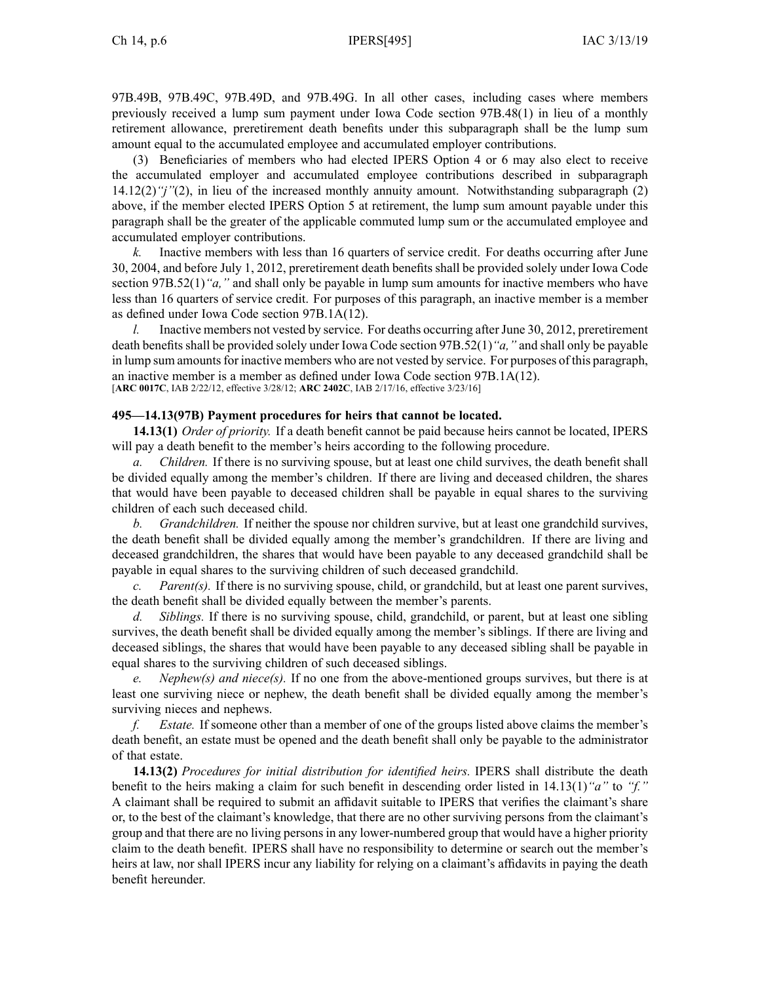[97B.49B](https://www.legis.iowa.gov/docs/ico/section/97B.49B.pdf), [97B.49C](https://www.legis.iowa.gov/docs/ico/section/97B.49C.pdf), [97B.49D](https://www.legis.iowa.gov/docs/ico/section/97B.49D.pdf), and [97B.49G](https://www.legis.iowa.gov/docs/ico/section/97B.49G.pdf). In all other cases, including cases where members previously received <sup>a</sup> lump sum paymen<sup>t</sup> under Iowa Code section [97B.48\(1\)](https://www.legis.iowa.gov/docs/ico/section/97B.48.pdf) in lieu of <sup>a</sup> monthly retirement allowance, preretirement death benefits under this subparagraph shall be the lump sum amount equal to the accumulated employee and accumulated employer contributions.

(3) Beneficiaries of members who had elected IPERS Option 4 or 6 may also elect to receive the accumulated employer and accumulated employee contributions described in subparagraph [14.12\(2\)](https://www.legis.iowa.gov/docs/iac/rule/495.14.12.pdf)*"j"*(2), in lieu of the increased monthly annuity amount. Notwithstanding subparagraph (2) above, if the member elected IPERS Option 5 at retirement, the lump sum amount payable under this paragraph shall be the greater of the applicable commuted lump sum or the accumulated employee and accumulated employer contributions.

*k.* Inactive members with less than 16 quarters of service credit. For deaths occurring after June 30, 2004, and before July 1, 2012, preretirement death benefits shall be provided solely under Iowa Code section [97B.52\(1\)](https://www.legis.iowa.gov/docs/ico/section/97B.52.pdf)*"a,"* and shall only be payable in lump sum amounts for inactive members who have less than 16 quarters of service credit. For purposes of this paragraph, an inactive member is <sup>a</sup> member as defined under Iowa Code section [97B.1A\(12\)](https://www.legis.iowa.gov/docs/ico/section/97B.1A.pdf).

*l.* Inactive members not vested by service. For deaths occurring after June 30, 2012, preretirement death benefitsshall be provided solely under Iowa Code section [97B.52\(1\)](https://www.legis.iowa.gov/docs/ico/section/97B.52.pdf)*"a,"* and shall only be payable in lump sum amounts for inactive members who are not vested by service. For purposes of this paragraph, an inactive member is <sup>a</sup> member as defined under Iowa Code section [97B.1A\(12\)](https://www.legis.iowa.gov/docs/ico/section/97B.1A.pdf). [**ARC [0017C](https://www.legis.iowa.gov/docs/aco/arc/0017C.pdf)**, IAB 2/22/12, effective 3/28/12; **ARC [2402C](https://www.legis.iowa.gov/docs/aco/arc/2402C.pdf)**, IAB 2/17/16, effective 3/23/16]

## **495—14.13(97B) Payment procedures for heirs that cannot be located.**

**14.13(1)** *Order of priority.* If <sup>a</sup> death benefit cannot be paid because heirs cannot be located, IPERS will pay <sup>a</sup> death benefit to the member's heirs according to the following procedure.

*a. Children.* If there is no surviving spouse, but at least one child survives, the death benefit shall be divided equally among the member's children. If there are living and deceased children, the shares that would have been payable to deceased children shall be payable in equal shares to the surviving children of each such deceased child.

*b. Grandchildren.* If neither the spouse nor children survive, but at least one grandchild survives, the death benefit shall be divided equally among the member's grandchildren. If there are living and deceased grandchildren, the shares that would have been payable to any deceased grandchild shall be payable in equal shares to the surviving children of such deceased grandchild.

*c. Parent(s).* If there is no surviving spouse, child, or grandchild, but at least one paren<sup>t</sup> survives, the death benefit shall be divided equally between the member's parents.

*d. Siblings.* If there is no surviving spouse, child, grandchild, or parent, but at least one sibling survives, the death benefit shall be divided equally among the member's siblings. If there are living and deceased siblings, the shares that would have been payable to any deceased sibling shall be payable in equal shares to the surviving children of such deceased siblings.

*e. Nephew(s) and niece(s).* If no one from the above-mentioned groups survives, but there is at least one surviving niece or nephew, the death benefit shall be divided equally among the member's surviving nieces and nephews.

*f. Estate.* If someone other than <sup>a</sup> member of one of the groups listed above claims the member's death benefit, an estate must be opened and the death benefit shall only be payable to the administrator of that estate.

**14.13(2)** *Procedures for initial distribution for identified heirs.* IPERS shall distribute the death benefit to the heirs making <sup>a</sup> claim for such benefit in descending order listed in [14.13\(1\)](https://www.legis.iowa.gov/docs/iac/rule/495.14.13.pdf)*"a"* to *"f."* A claimant shall be required to submit an affidavit suitable to IPERS that verifies the claimant's share or, to the best of the claimant's knowledge, that there are no other surviving persons from the claimant's group and that there are no living persons in any lower-numbered group that would have <sup>a</sup> higher priority claim to the death benefit. IPERS shall have no responsibility to determine or search out the member's heirs at law, nor shall IPERS incur any liability for relying on <sup>a</sup> claimant's affidavits in paying the death benefit hereunder.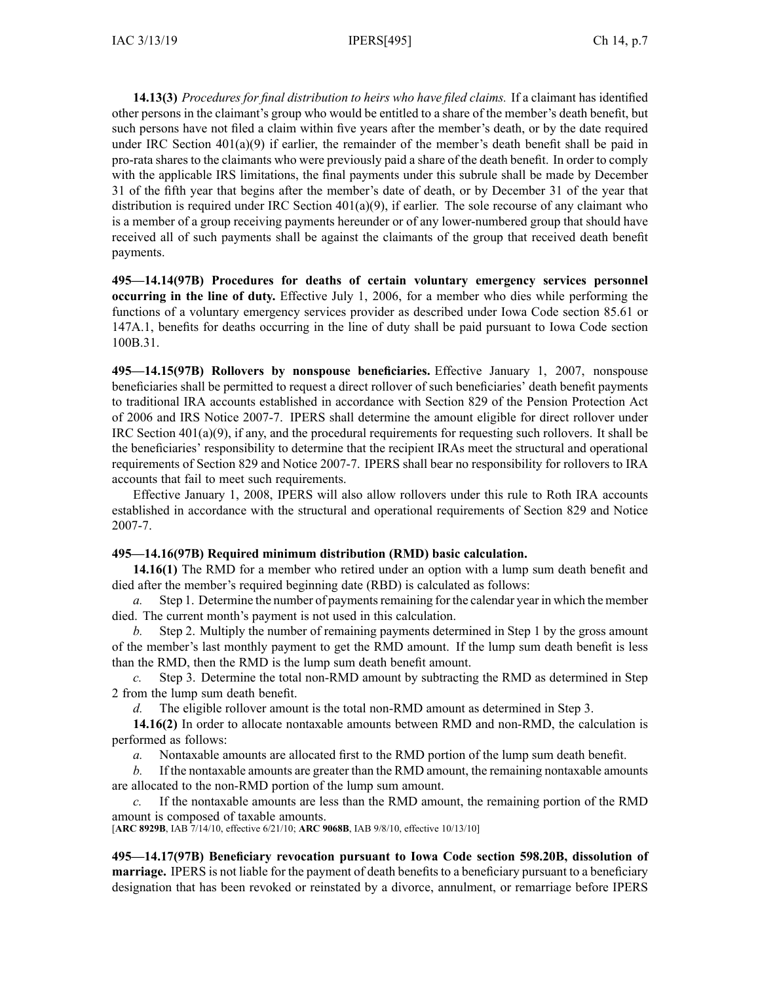**14.13(3)** *Procedures for final distribution to heirs who have filed claims.* If <sup>a</sup> claimant has identified other persons in the claimant's group who would be entitled to <sup>a</sup> share of the member's death benefit, but such persons have not filed <sup>a</sup> claim within five years after the member's death, or by the date required under IRC Section  $401(a)(9)$  if earlier, the remainder of the member's death benefit shall be paid in pro-rata shares to the claimants who were previously paid <sup>a</sup> share of the death benefit. In order to comply with the applicable IRS limitations, the final payments under this subrule shall be made by December 31 of the fifth year that begins after the member's date of death, or by December 31 of the year that distribution is required under IRC Section 401(a)(9), if earlier. The sole recourse of any claimant who is <sup>a</sup> member of <sup>a</sup> group receiving payments hereunder or of any lower-numbered group that should have received all of such payments shall be against the claimants of the group that received death benefit payments.

**495—14.14(97B) Procedures for deaths of certain voluntary emergency services personnel occurring in the line of duty.** Effective July 1, 2006, for <sup>a</sup> member who dies while performing the functions of <sup>a</sup> voluntary emergency services provider as described under Iowa Code section [85.61](https://www.legis.iowa.gov/docs/ico/section/85.61.pdf) or [147A.1](https://www.legis.iowa.gov/docs/ico/section/147A.1.pdf), benefits for deaths occurring in the line of duty shall be paid pursuan<sup>t</sup> to Iowa Code section [100B.31](https://www.legis.iowa.gov/docs/ico/section/100B.31.pdf).

**495—14.15(97B) Rollovers by nonspouse beneficiaries.** Effective January 1, 2007, nonspouse beneficiaries shall be permitted to reques<sup>t</sup> <sup>a</sup> direct rollover of such beneficiaries' death benefit payments to traditional IRA accounts established in accordance with Section 829 of the Pension Protection Act of 2006 and IRS Notice 2007-7. IPERS shall determine the amount eligible for direct rollover under IRC Section 401(a)(9), if any, and the procedural requirements for requesting such rollovers. It shall be the beneficiaries' responsibility to determine that the recipient IRAs meet the structural and operational requirements of Section 829 and Notice 2007-7. IPERS shall bear no responsibility for rollovers to IRA accounts that fail to meet such requirements.

Effective January 1, 2008, IPERS will also allow rollovers under this rule to Roth IRA accounts established in accordance with the structural and operational requirements of Section 829 and Notice 2007-7.

# **495—14.16(97B) Required minimum distribution (RMD) basic calculation.**

**14.16(1)** The RMD for <sup>a</sup> member who retired under an option with <sup>a</sup> lump sum death benefit and died after the member's required beginning date (RBD) is calculated as follows:

*a.* Step 1. Determine the number of payments remaining for the calendar year in which the member died. The current month's paymen<sup>t</sup> is not used in this calculation.

*b.* Step 2. Multiply the number of remaining payments determined in Step 1 by the gross amount of the member's last monthly paymen<sup>t</sup> to ge<sup>t</sup> the RMD amount. If the lump sum death benefit is less than the RMD, then the RMD is the lump sum death benefit amount.

*c.* Step 3. Determine the total non-RMD amount by subtracting the RMD as determined in Step 2 from the lump sum death benefit.

*d.* The eligible rollover amount is the total non-RMD amount as determined in Step 3.

**14.16(2)** In order to allocate nontaxable amounts between RMD and non-RMD, the calculation is performed as follows:

*a.* Nontaxable amounts are allocated first to the RMD portion of the lump sum death benefit.

*b.* If the nontaxable amounts are greater than the RMD amount, the remaining nontaxable amounts are allocated to the non-RMD portion of the lump sum amount.

*c.* If the nontaxable amounts are less than the RMD amount, the remaining portion of the RMD amount is composed of taxable amounts.

[**ARC [8929B](https://www.legis.iowa.gov/docs/aco/arc/8929B.pdf)**, IAB 7/14/10, effective 6/21/10; **ARC [9068B](https://www.legis.iowa.gov/docs/aco/arc/9068B.pdf)**, IAB 9/8/10, effective 10/13/10]

**495—14.17(97B) Beneficiary revocation pursuant to Iowa Code section [598.20B](https://www.legis.iowa.gov/docs/ico/section/598.20B.pdf), dissolution of marriage.** IPERS is not liable for the paymen<sup>t</sup> of death benefits to <sup>a</sup> beneficiary pursuan<sup>t</sup> to <sup>a</sup> beneficiary designation that has been revoked or reinstated by <sup>a</sup> divorce, annulment, or remarriage before IPERS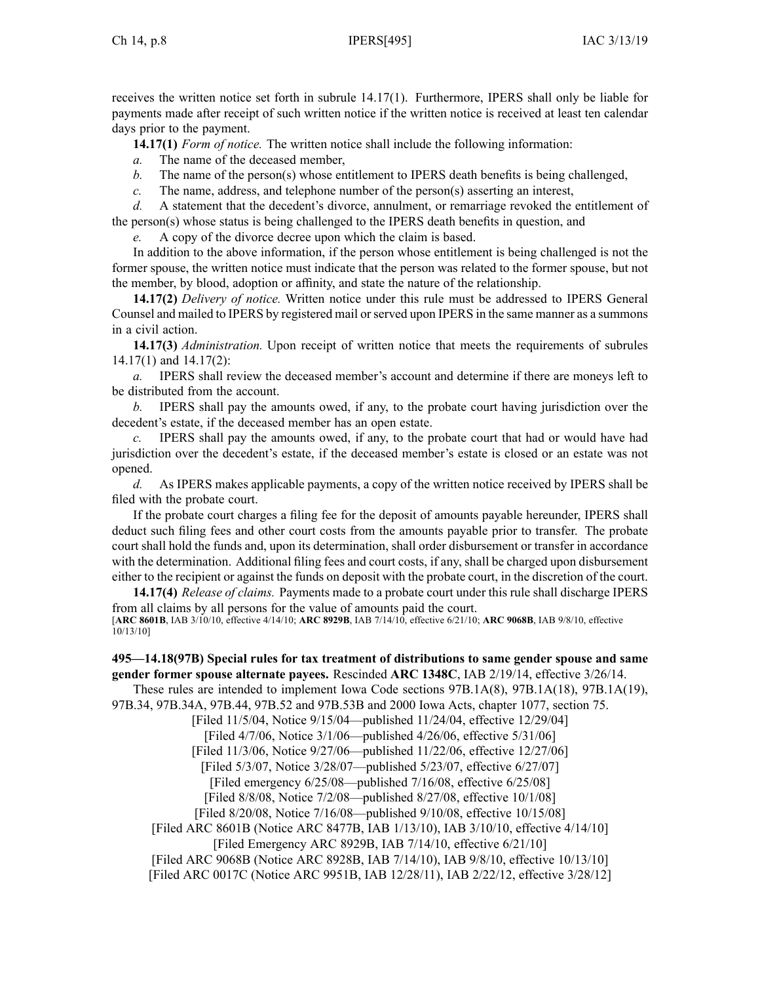receives the written notice set forth in subrule [14.17\(1\)](https://www.legis.iowa.gov/docs/iac/rule/495.14.16.pdf). Furthermore, IPERS shall only be liable for payments made after receipt of such written notice if the written notice is received at least ten calendar days prior to the payment.

**14.17(1)** *Form of notice.* The written notice shall include the following information:

*a.* The name of the deceased member,

- *b.* The name of the person(s) whose entitlement to IPERS death benefits is being challenged,
- *c.* The name, address, and telephone number of the person(s) asserting an interest,

*d.* A statement that the decedent's divorce, annulment, or remarriage revoked the entitlement of the person(s) whose status is being challenged to the IPERS death benefits in question, and

*e.* A copy of the divorce decree upon which the claim is based.

In addition to the above information, if the person whose entitlement is being challenged is not the former spouse, the written notice must indicate that the person was related to the former spouse, but not the member, by blood, adoption or affinity, and state the nature of the relationship.

**14.17(2)** *Delivery of notice.* Written notice under this rule must be addressed to IPERS General Counsel and mailed to IPERS by registered mail orserved upon IPERS in the same manner as <sup>a</sup> summons in <sup>a</sup> civil action.

**14.17(3)** *Administration.* Upon receipt of written notice that meets the requirements of subrules [14.17\(1\)](https://www.legis.iowa.gov/docs/iac/rule/495.14.17.pdf) and [14.17\(2\)](https://www.legis.iowa.gov/docs/iac/rule/495.14.17.pdf):

*a.* IPERS shall review the deceased member's account and determine if there are moneys left to be distributed from the account.

*b.* IPERS shall pay the amounts owed, if any, to the probate court having jurisdiction over the decedent's estate, if the deceased member has an open estate.

*c.* IPERS shall pay the amounts owed, if any, to the probate court that had or would have had jurisdiction over the decedent's estate, if the deceased member's estate is closed or an estate was not opened.

*d.* As IPERS makes applicable payments, <sup>a</sup> copy of the written notice received by IPERS shall be filed with the probate court.

If the probate court charges <sup>a</sup> filing fee for the deposit of amounts payable hereunder, IPERS shall deduct such filing fees and other court costs from the amounts payable prior to transfer. The probate court shall hold the funds and, upon its determination, shall order disbursement or transfer in accordance with the determination. Additional filing fees and court costs, if any, shall be charged upon disbursement either to the recipient or against the funds on deposit with the probate court, in the discretion of the court.

**14.17(4)** *Release of claims.* Payments made to <sup>a</sup> probate court under this rule shall discharge IPERS from all claims by all persons for the value of amounts paid the court. [**ARC [8601B](https://www.legis.iowa.gov/docs/aco/arc/8601B.pdf)**, IAB 3/10/10, effective 4/14/10; **ARC [8929B](https://www.legis.iowa.gov/docs/aco/arc/8929B.pdf)**, IAB 7/14/10, effective 6/21/10; **ARC [9068B](https://www.legis.iowa.gov/docs/aco/arc/9068B.pdf)**, IAB 9/8/10, effective 10/13/10]

**495—14.18(97B) Special rules for tax treatment of distributions to same gender spouse and same gender former spouse alternate payees.** Rescinded **ARC 1348C**, IAB [2/19/14](https://www.legis.iowa.gov/docs/aco/bulletin/02-19-2014.pdf), effective 3/26/14.

These rules are intended to implement Iowa Code sections [97B.1A\(8\)](https://www.legis.iowa.gov/docs/ico/section/97B.1A.pdf), [97B.1A\(18\)](https://www.legis.iowa.gov/docs/ico/section/97B.1A.pdf), [97B.1A\(19\)](https://www.legis.iowa.gov/docs/ico/section/97B.1A.pdf),

[97B.34](https://www.legis.iowa.gov/docs/ico/section/97B.34.pdf), [97B.34A](https://www.legis.iowa.gov/docs/ico/section/97B.34A.pdf), [97B.44](https://www.legis.iowa.gov/docs/ico/section/97B.44.pdf), [97B.52](https://www.legis.iowa.gov/docs/ico/section/97B.52.pdf) and [97B.53B](https://www.legis.iowa.gov/docs/ico/section/97B.53B.pdf) and 2000 Iowa Acts, chapter 1077, section 75.

[Filed 11/5/04, Notice 9/15/04—published 11/24/04, effective 12/29/04]

[Filed 4/7/06, Notice 3/1/06—published 4/26/06, effective 5/31/06]

[Filed 11/3/06, Notice 9/27/06—published 11/22/06, effective 12/27/06]

[Filed 5/3/07, Notice 3/28/07—published 5/23/07, effective 6/27/07]

[Filed emergency 6/25/08—published 7/16/08, effective 6/25/08]

[Filed 8/8/08, Notice 7/2/08—published 8/27/08, effective 10/1/08]

[Filed 8/20/08, Notice 7/16/08—published 9/10/08, effective 10/15/08]

[[Filed](https://www.legis.iowa.gov/docs/aco/arc/8601B.pdf) ARC 8601B ([Notice](https://www.legis.iowa.gov/docs/aco/arc/8477B.pdf) ARC 8477B, IAB 1/13/10), IAB 3/10/10, effective 4/14/10]

[Filed [Emergency](https://www.legis.iowa.gov/docs/aco/arc/8929B.pdf) ARC 8929B, IAB 7/14/10, effective 6/21/10]

[[Filed](https://www.legis.iowa.gov/docs/aco/arc/9068B.pdf) ARC 9068B ([Notice](https://www.legis.iowa.gov/docs/aco/arc/8928B.pdf) ARC 8928B, IAB 7/14/10), IAB 9/8/10, effective 10/13/10]

[Filed ARC [0017C](https://www.legis.iowa.gov/docs/aco/arc/0017C.pdf) ([Notice](https://www.legis.iowa.gov/docs/aco/arc/9951B.pdf) ARC 9951B, IAB 12/28/11), IAB 2/22/12, effective 3/28/12]